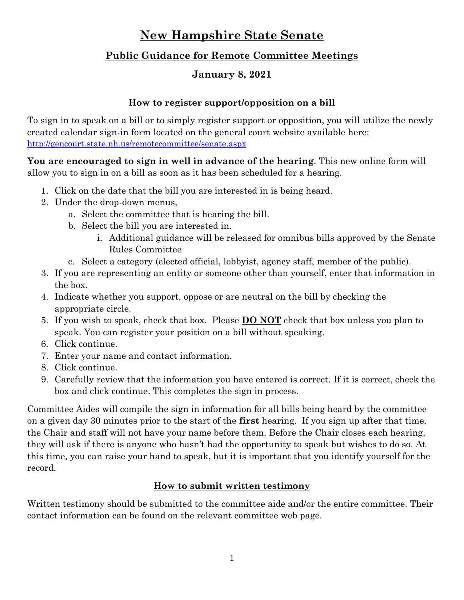# **New Hampshire State Senate**

# **Public Guidance for Remote Committee Meetings**

## **January 8, 2021**

#### **How to register support/opposition on a bill**

To sign in to speak on a bill or to simply register support or opposition, you will utilize the newly created calendar sign-in form located on the general court website available here: <http://gencourt.state.nh.us/remotecommittee/senate.aspx>

**You are encouraged to sign in well in advance of the hearing**. This new online form will allow you to sign in on a bill as soon as it has been scheduled for a hearing.

- 1. Click on the date that the bill you are interested in is being heard.
- 2. Under the drop-down menus,
	- a. Select the committee that is hearing the bill.
	- b. Select the bill you are interested in.
		- i. Additional guidance will be released for omnibus bills approved by the Senate Rules Committee
	- c. Select a category (elected official, lobbyist, agency staff, member of the public).
- 3. If you are representing an entity or someone other than yourself, enter that information in the box.
- 4. Indicate whether you support, oppose or are neutral on the bill by checking the appropriate circle.
- 5. If you wish to speak, check that box. Please **DO NOT** check that box unless you plan to speak. You can register your position on a bill without speaking.
- 6. Click continue.
- 7. Enter your name and contact information.
- 8. Click continue.
- 9. Carefully review that the information you have entered is correct. If it is correct, check the box and click continue. This completes the sign in process.

Committee Aides will compile the sign in information for all bills being heard by the committee on a given day 30 minutes prior to the start of the **first** hearing. If you sign up after that time, the Chair and staff will not have your name before them. Before the Chair closes each hearing, they will ask if there is anyone who hasn't had the opportunity to speak but wishes to do so. At this time, you can raise your hand to speak, but it is important that you identify yourself for the record.

## **How to submit written testimony**

Written testimony should be submitted to the committee aide and/or the entire committee. Their contact information can be found on the relevant committee web page.